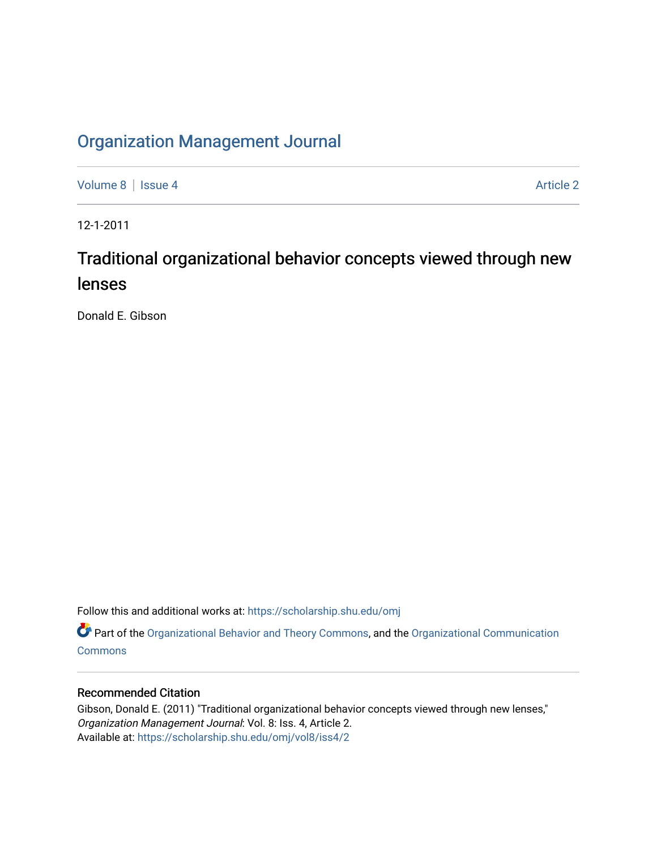## [Organization Management Journal](https://scholarship.shu.edu/omj)

[Volume 8](https://scholarship.shu.edu/omj/vol8) | [Issue 4](https://scholarship.shu.edu/omj/vol8/iss4) Article 2

12-1-2011

## Traditional organizational behavior concepts viewed through new lenses

Donald E. Gibson

Follow this and additional works at: [https://scholarship.shu.edu/omj](https://scholarship.shu.edu/omj?utm_source=scholarship.shu.edu%2Fomj%2Fvol8%2Fiss4%2F2&utm_medium=PDF&utm_campaign=PDFCoverPages) 

Part of the [Organizational Behavior and Theory Commons,](http://network.bepress.com/hgg/discipline/639?utm_source=scholarship.shu.edu%2Fomj%2Fvol8%2Fiss4%2F2&utm_medium=PDF&utm_campaign=PDFCoverPages) and the [Organizational Communication](http://network.bepress.com/hgg/discipline/335?utm_source=scholarship.shu.edu%2Fomj%2Fvol8%2Fiss4%2F2&utm_medium=PDF&utm_campaign=PDFCoverPages) **[Commons](http://network.bepress.com/hgg/discipline/335?utm_source=scholarship.shu.edu%2Fomj%2Fvol8%2Fiss4%2F2&utm_medium=PDF&utm_campaign=PDFCoverPages)** 

## Recommended Citation

Gibson, Donald E. (2011) "Traditional organizational behavior concepts viewed through new lenses," Organization Management Journal: Vol. 8: Iss. 4, Article 2. Available at: [https://scholarship.shu.edu/omj/vol8/iss4/2](https://scholarship.shu.edu/omj/vol8/iss4/2?utm_source=scholarship.shu.edu%2Fomj%2Fvol8%2Fiss4%2F2&utm_medium=PDF&utm_campaign=PDFCoverPages)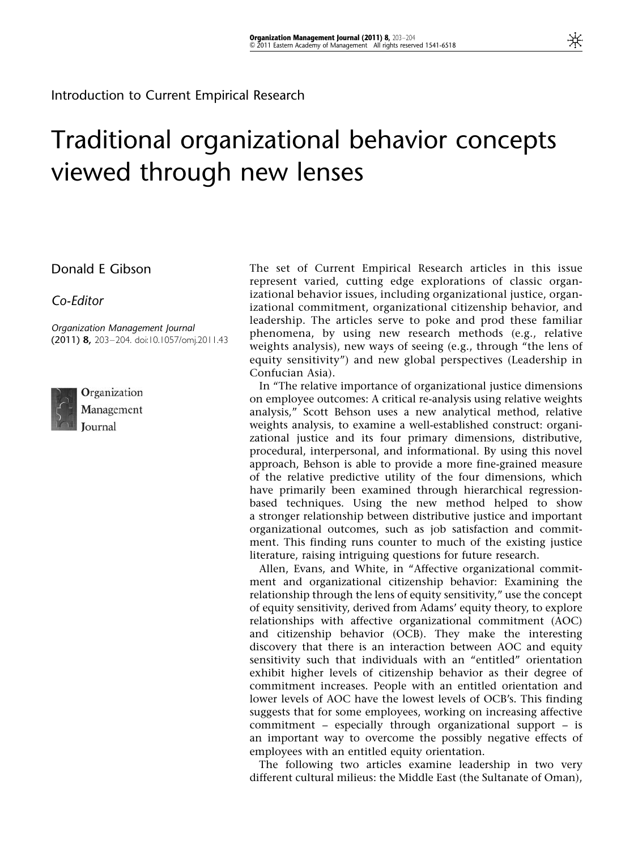Introduction to Current Empirical Research

## Traditional organizational behavior concepts viewed through new lenses

Donald E Gibson

Co-Editor

Organization Management Journal (2011) 8, 203–204. doi:10.1057/omj.2011.43



Organization Management Journal

The set of Current Empirical Research articles in this issue represent varied, cutting edge explorations of classic organizational behavior issues, including organizational justice, organizational commitment, organizational citizenship behavior, and leadership. The articles serve to poke and prod these familiar phenomena, by using new research methods (e.g., relative weights analysis), new ways of seeing (e.g., through "the lens of equity sensitivity") and new global perspectives (Leadership in Confucian Asia).

In "The relative importance of organizational justice dimensions on employee outcomes: A critical re-analysis using relative weights analysis," Scott Behson uses a new analytical method, relative weights analysis, to examine a well-established construct: organizational justice and its four primary dimensions, distributive, procedural, interpersonal, and informational. By using this novel approach, Behson is able to provide a more fine-grained measure of the relative predictive utility of the four dimensions, which have primarily been examined through hierarchical regressionbased techniques. Using the new method helped to show a stronger relationship between distributive justice and important organizational outcomes, such as job satisfaction and commitment. This finding runs counter to much of the existing justice literature, raising intriguing questions for future research.

Allen, Evans, and White, in "Affective organizational commitment and organizational citizenship behavior: Examining the relationship through the lens of equity sensitivity," use the concept of equity sensitivity, derived from Adams' equity theory, to explore relationships with affective organizational commitment (AOC) and citizenship behavior (OCB). They make the interesting discovery that there is an interaction between AOC and equity sensitivity such that individuals with an "entitled" orientation exhibit higher levels of citizenship behavior as their degree of commitment increases. People with an entitled orientation and lower levels of AOC have the lowest levels of OCB's. This finding suggests that for some employees, working on increasing affective commitment – especially through organizational support – is an important way to overcome the possibly negative effects of employees with an entitled equity orientation.

The following two articles examine leadership in two very different cultural milieus: the Middle East (the Sultanate of Oman),